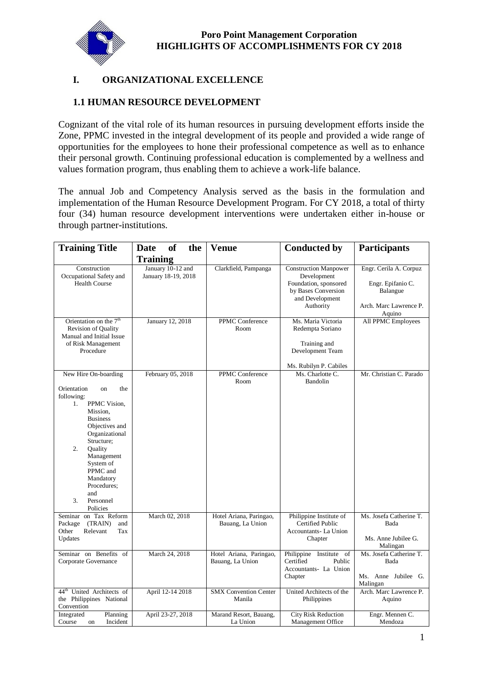

# **I. ORGANIZATIONAL EXCELLENCE**

# **1.1 HUMAN RESOURCE DEVELOPMENT**

Cognizant of the vital role of its human resources in pursuing development efforts inside the Zone, PPMC invested in the integral development of its people and provided a wide range of opportunities for the employees to hone their professional competence as well as to enhance their personal growth. Continuing professional education is complemented by a wellness and values formation program, thus enabling them to achieve a work-life balance.

The annual Job and Competency Analysis served as the basis in the formulation and implementation of the Human Resource Development Program. For CY 2018, a total of thirty four (34) human resource development interventions were undertaken either in-house or through partner-institutions.

| <b>Training Title</b>                                                                                                                                                                                                                                                                                      | <b>of</b><br>the<br><b>Date</b>          | <b>Venue</b>                                | <b>Conducted by</b>                                                                                                         | <b>Participants</b>                                                                         |
|------------------------------------------------------------------------------------------------------------------------------------------------------------------------------------------------------------------------------------------------------------------------------------------------------------|------------------------------------------|---------------------------------------------|-----------------------------------------------------------------------------------------------------------------------------|---------------------------------------------------------------------------------------------|
|                                                                                                                                                                                                                                                                                                            | <b>Training</b>                          |                                             |                                                                                                                             |                                                                                             |
| Construction<br>Occupational Safety and<br><b>Health Course</b>                                                                                                                                                                                                                                            | January 10-12 and<br>January 18-19, 2018 | Clarkfield, Pampanga                        | <b>Construction Manpower</b><br>Development<br>Foundation, sponsored<br>by Bases Conversion<br>and Development<br>Authority | Engr. Cerila A. Corpuz<br>Engr. Epifanio C.<br>Balangue<br>Arch. Marc Lawrence P.<br>Aquino |
| Orientation on the 7 <sup>th</sup><br><b>Revision of Quality</b><br>Manual and Initial Issue<br>of Risk Management<br>Procedure                                                                                                                                                                            | January 12, 2018                         | PPMC Conference<br>Room                     | Ms. Maria Victoria<br>Redempta Soriano<br>Training and<br>Development Team<br>Ms. Rubilyn P. Cabiles                        | All PPMC Employees                                                                          |
| New Hire On-boarding<br>Orientation<br><sub>on</sub><br>the<br>following:<br>PPMC Vision.<br>1.<br>Mission.<br><b>Business</b><br>Objectives and<br>Organizational<br>Structure;<br>2.<br>Quality<br>Management<br>System of<br>PPMC and<br>Mandatory<br>Procedures;<br>and<br>3.<br>Personnel<br>Policies | February 05, 2018                        | PPMC Conference<br>Room                     | Ms. Charlotte C.<br>Bandolin                                                                                                | Mr. Christian C. Parado                                                                     |
| Seminar on Tax Reform<br>(TRAIN)<br>Package<br>and<br>Other<br>Relevant<br>Tax<br>Updates                                                                                                                                                                                                                  | March 02, 2018                           | Hotel Ariana, Paringao,<br>Bauang, La Union | Philippine Institute of<br>Certified Public<br>Accountants- La Union<br>Chapter                                             | Ms. Josefa Catherine T.<br>Bada<br>Ms. Anne Jubilee G.<br>Malingan                          |
| Seminar on Benefits of<br>Corporate Governance                                                                                                                                                                                                                                                             | March 24, 2018                           | Hotel Ariana, Paringao,<br>Bauang, La Union | Philippine Institute of<br>Certified<br>Public<br>Accountants- La Union<br>Chapter                                          | Ms. Josefa Catherine T.<br>Bada<br>Ms. Anne Jubilee G.<br>Malingan                          |
| $44^{\text{th}}$<br>United Architects of<br>the Philippines National<br>Convention                                                                                                                                                                                                                         | April 12-14 2018                         | <b>SMX Convention Center</b><br>Manila      | United Architects of the<br>Philippines                                                                                     | Arch. Marc Lawrence P.<br>Aquino                                                            |
| Integrated<br>Planning<br>Incident<br>Course<br>on                                                                                                                                                                                                                                                         | April 23-27, 2018                        | Marand Resort, Bauang,<br>La Union          | <b>City Risk Reduction</b><br>Management Office                                                                             | Engr. Mennen C.<br>Mendoza                                                                  |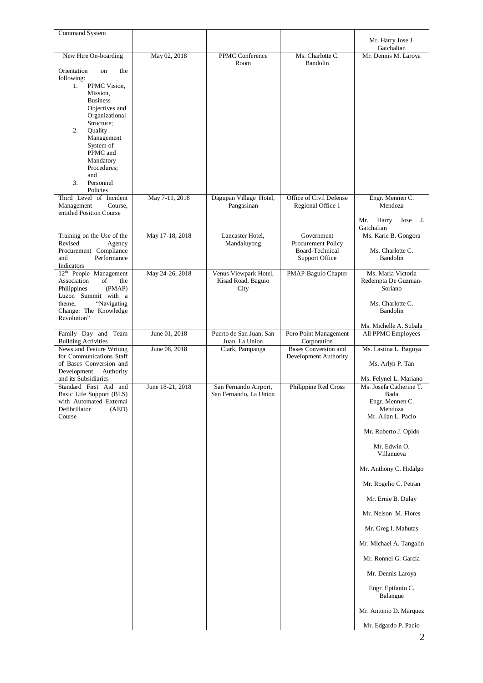| <b>Command System</b>                                                        |                  |                                                 |                                                      | Mr. Harry Jose J.                            |
|------------------------------------------------------------------------------|------------------|-------------------------------------------------|------------------------------------------------------|----------------------------------------------|
|                                                                              |                  |                                                 |                                                      | Gatchalian                                   |
| New Hire On-boarding                                                         | May 02, 2018     | PPMC Conference<br>Room                         | Ms. Charlotte C.<br>Bandolin                         | Mr. Dennis M. Laroya                         |
| Orientation<br>the<br>on<br>following:                                       |                  |                                                 |                                                      |                                              |
| PPMC Vision,<br>1.<br>Mission,                                               |                  |                                                 |                                                      |                                              |
| <b>Business</b>                                                              |                  |                                                 |                                                      |                                              |
| Objectives and<br>Organizational                                             |                  |                                                 |                                                      |                                              |
| Structure;<br>2.<br>Quality                                                  |                  |                                                 |                                                      |                                              |
| Management                                                                   |                  |                                                 |                                                      |                                              |
| System of<br>PPMC and                                                        |                  |                                                 |                                                      |                                              |
| Mandatory<br>Procedures;                                                     |                  |                                                 |                                                      |                                              |
| and                                                                          |                  |                                                 |                                                      |                                              |
| 3.<br>Personnel<br>Policies                                                  |                  |                                                 |                                                      |                                              |
| Third Level of Incident<br>Management<br>Course,<br>entitled Position Course | May 7-11, 2018   | Dagupan Village Hotel,<br>Pangasinan            | Office of Civil Defense<br>Regional Office 1         | Engr. Mennen C.<br>Mendoza                   |
|                                                                              |                  |                                                 |                                                      | Mr.<br>Harry<br>Jose<br>J.<br>Gatchalian     |
| Training on the Use of the<br>Revised<br>Agency                              | May 17-18, 2018  | Lancaster Hotel,<br>Mandaluyong                 | Government<br>Procurement Policy                     | Ms. Karie B. Gongora                         |
| Procurement Compliance                                                       |                  |                                                 | Board-Technical                                      | Ms. Charlotte C.                             |
| Performance<br>and<br>Indicators                                             |                  |                                                 | Support Office                                       | Bandolin                                     |
| 12 <sup>th</sup> People Management<br>Association<br>οf<br>the               | May 24-26, 2018  | Venus Viewpark Hotel,<br>Kisad Road, Baguio     | PMAP-Baguio Chapter                                  | Ms. Maria Victoria<br>Redempta De Guzman-    |
| Philippines<br>(PMAP)<br>Luzon Summit with a                                 |                  | City                                            |                                                      | Soriano                                      |
| "Navigating<br>theme.                                                        |                  |                                                 |                                                      | Ms. Charlotte C.                             |
| Change: The Knowledge<br>Revolution"                                         |                  |                                                 |                                                      | Bandolin                                     |
| Family Day and Team<br><b>Building Activities</b>                            | June 01, 2018    | Puerto de San Juan, San<br>Juan, La Union       | Poro Point Management<br>Corporation                 | Ms. Michelle A. Subala<br>All PPMC Employees |
| News and Feature Writing<br>for Communications Staff                         | June 08, 2018    | Clark, Pampanga                                 | <b>Bases Conversion and</b><br>Development Authority | Ms. Lastina L. Baguya                        |
| of Bases Conversion and                                                      |                  |                                                 |                                                      | Ms. Arlyn P. Tan                             |
| Development<br>Authority<br>and its Subsidiaries                             |                  |                                                 |                                                      | Ms. Felynel L. Mariano                       |
| Standard First Aid and<br>Basic Life Support (BLS)                           | June 18-21, 2018 | San Fernando Airport,<br>San Fernando, La Union | Philippine Red Cross                                 | Ms. Josefa Catherine T.<br>Bada              |
| with Automated External                                                      |                  |                                                 |                                                      | Engr. Mennen C.                              |
| Defibrillator<br>(AED)<br>Course                                             |                  |                                                 |                                                      | Mendoza<br>Mr. Allan L. Pacio                |
|                                                                              |                  |                                                 |                                                      | Mr. Roberto J. Opido                         |
|                                                                              |                  |                                                 |                                                      | Mr. Edwin O.<br>Villanueva                   |
|                                                                              |                  |                                                 |                                                      | Mr. Anthony C. Hidalgo                       |
|                                                                              |                  |                                                 |                                                      | Mr. Rogelio C. Petran                        |
|                                                                              |                  |                                                 |                                                      | Mr. Ernie B. Dulay                           |
|                                                                              |                  |                                                 |                                                      | Mr. Nelson M. Flores                         |
|                                                                              |                  |                                                 |                                                      | Mr. Greg I. Mabutas                          |
|                                                                              |                  |                                                 |                                                      | Mr. Michael A. Tangalin                      |
|                                                                              |                  |                                                 |                                                      | Mr. Ronnel G. Garcia                         |
|                                                                              |                  |                                                 |                                                      | Mr. Dennis Laroya                            |
|                                                                              |                  |                                                 |                                                      | Engr. Epifanio C.<br>Balangue                |
|                                                                              |                  |                                                 |                                                      | Mr. Antonio D. Marquez                       |
|                                                                              |                  |                                                 |                                                      | Mr. Edgardo P. Pacio                         |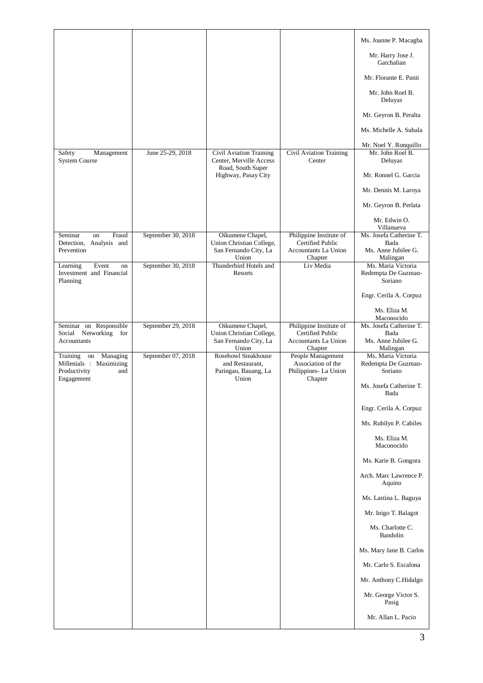|                                                |                    |                                                            |                                                 | Ms. Joanne P. Macagba                   |
|------------------------------------------------|--------------------|------------------------------------------------------------|-------------------------------------------------|-----------------------------------------|
|                                                |                    |                                                            |                                                 | Mr. Harry Jose J.<br>Gatchalian         |
|                                                |                    |                                                            |                                                 | Mr. Florante E. Panit                   |
|                                                |                    |                                                            |                                                 | Mr. John Roel B.<br>Deluyas             |
|                                                |                    |                                                            |                                                 | Mr. Geyron B. Peralta                   |
|                                                |                    |                                                            |                                                 | Ms. Michelle A. Subala                  |
|                                                |                    |                                                            |                                                 | Mr. Noel Y. Ronquillo                   |
| Safety<br>Management<br><b>System Course</b>   | June 25-29, 2018   | Civil Aviation Training<br>Center, Merville Access         | Civil Aviation Training<br>Center               | Mr. John Roel B.<br>Deluyas             |
|                                                |                    | Road, South Super<br>Highway, Pasay City                   |                                                 | Mr. Ronnel G. Garcia                    |
|                                                |                    |                                                            |                                                 | Mr. Dennis M. Laroya                    |
|                                                |                    |                                                            |                                                 | Mr. Geyron B. Perlata                   |
|                                                |                    |                                                            |                                                 | Mr. Edwin O.<br>Villanueva              |
| Fraud<br>Seminar<br>on                         | September 30, 2018 | Oikumene Chapel,                                           | Philippine Institute of                         | Ms. Josefa Catherine T.                 |
| Detection, Analysis and<br>Prevention          |                    | Union Christian College,<br>San Fernando City, La<br>Union | Certified Public<br>Accountants La Union        | Bada<br>Ms. Anne Jubilee G.<br>Malingan |
| Event<br>Learning<br>on                        | September 30, 2018 | Thunderbird Hotels and                                     | Chapter<br>Liv Media                            | Ms. Maria Victoria                      |
| Investment and Financial<br>Planning           |                    | Resorts                                                    |                                                 | Redempta De Guzman-<br>Soriano          |
|                                                |                    |                                                            |                                                 | Engr. Cerila A. Corpuz                  |
|                                                |                    |                                                            |                                                 | Ms. Eliza M.<br>Maconocido              |
| Seminar on Responsible                         | September 29, 2018 | Oikumene Chapel,                                           | Philippine Institute of                         | Ms. Josefa Catherine T.                 |
| Social Networking for<br>Accountants           |                    | Union Christian College,<br>San Fernando City, La          | <b>Certified Public</b><br>Accountants La Union | Bada<br>Ms. Anne Jubilee G.             |
| Training<br>on<br>Managing                     | September 07, 2018 | Union<br><b>Rosebowl Steakhouse</b>                        | Chapter<br>People Management                    | Malingan<br>Ms. Maria Victoria          |
| Millenials : Maximizing<br>Productivity<br>and |                    | and Restaurant,<br>Paringao, Bauang, La                    | Association of the<br>Philippines- La Union     | Redempta De Guzman-<br>Soriano          |
| Engagement                                     |                    | Union                                                      | Chapter                                         | Ms. Josefa Catherine T.<br>Bada         |
|                                                |                    |                                                            |                                                 | Engr. Cerila A. Corpuz                  |
|                                                |                    |                                                            |                                                 | Ms. Rubilyn P. Cabiles                  |
|                                                |                    |                                                            |                                                 | Ms. Eliza M.<br>Maconocido              |
|                                                |                    |                                                            |                                                 | Ms. Karie B. Gongora                    |
|                                                |                    |                                                            |                                                 | Arch. Marc Lawrence P.<br>Aquino        |
|                                                |                    |                                                            |                                                 | Ms. Lastina L. Baguya                   |
|                                                |                    |                                                            |                                                 | Mr. Inigo T. Balagot                    |
|                                                |                    |                                                            |                                                 | Ms. Charlotte C.<br>Bandolin            |
|                                                |                    |                                                            |                                                 | Ms. Mary Jane B. Carlos                 |
|                                                |                    |                                                            |                                                 | Mr. Carlo S. Escalona                   |
|                                                |                    |                                                            |                                                 | Mr. Anthony C.Hidalgo                   |
|                                                |                    |                                                            |                                                 | Mr. George Victor S.<br>Pasig           |
|                                                |                    |                                                            |                                                 | Mr. Allan L. Pacio                      |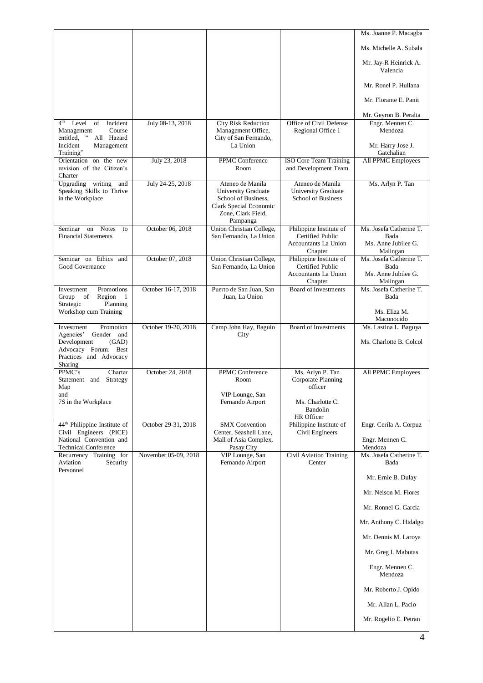|                                                                               |                      |                                                  |                                                        | Ms. Joanne P. Macagba              |
|-------------------------------------------------------------------------------|----------------------|--------------------------------------------------|--------------------------------------------------------|------------------------------------|
|                                                                               |                      |                                                  |                                                        | Ms. Michelle A. Subala             |
|                                                                               |                      |                                                  |                                                        | Mr. Jay-R Heinrick A.<br>Valencia  |
|                                                                               |                      |                                                  |                                                        | Mr. Ronel P. Hullana               |
|                                                                               |                      |                                                  |                                                        | Mr. Florante E. Panit              |
|                                                                               |                      |                                                  |                                                        | Mr. Geyron B. Peralta              |
| Incident<br>4 <sup>th</sup><br>Level of<br>Management<br>Course               | July 08-13, 2018     | <b>City Risk Reduction</b><br>Management Office, | Office of Civil Defense<br>Regional Office 1           | Engr. Mennen C.<br>Mendoza         |
| $\boldsymbol{\varsigma} \, \boldsymbol{\varsigma}$<br>entitled.<br>All Hazard |                      | City of San Fernando,                            |                                                        |                                    |
| Incident<br>Management<br>Training"                                           |                      | La Union                                         |                                                        | Mr. Harry Jose J.<br>Gatchalian    |
| Orientation on the new                                                        | July 23, 2018        | PPMC Conference                                  | <b>ISO Core Team Training</b>                          | All PPMC Employees                 |
| revision of the Citizen's<br>Charter                                          |                      | Room                                             | and Development Team                                   |                                    |
| Upgrading writing<br>and                                                      | July 24-25, 2018     | Ateneo de Manila                                 | Ateneo de Manila                                       | Ms. Arlyn P. Tan                   |
| Speaking Skills to Thrive<br>in the Workplace                                 |                      | University Graduate<br>School of Business,       | University Graduate<br><b>School of Business</b>       |                                    |
|                                                                               |                      | Clark Special Economic                           |                                                        |                                    |
|                                                                               |                      | Zone, Clark Field,<br>Pampanga                   |                                                        |                                    |
| on Notes<br>Seminar<br>to                                                     | October 06, 2018     | Union Christian College,                         | Philippine Institute of                                | Ms. Josefa Catherine T.            |
| <b>Financial Statements</b>                                                   |                      | San Fernando, La Union                           | Certified Public                                       | Bada                               |
|                                                                               |                      |                                                  | <b>Accountants La Union</b><br>Chapter                 | Ms. Anne Jubilee G.<br>Malingan    |
| Seminar on Ethics and                                                         | October 07, 2018     | Union Christian College,                         | Philippine Institute of                                | Ms. Josefa Catherine T.            |
| Good Governance                                                               |                      | San Fernando, La Union                           | <b>Certified Public</b><br><b>Accountants La Union</b> | Bada<br>Ms. Anne Jubilee G.        |
|                                                                               |                      |                                                  | Chapter                                                | Malingan                           |
| Promotions<br>Investment<br>Group of<br>Region 1                              | October 16-17, 2018  | Puerto de San Juan, San<br>Juan, La Union        | <b>Board of Investments</b>                            | Ms. Josefa Catherine T.<br>Bada    |
| Strategic<br>Planning<br>Workshop cum Training                                |                      |                                                  |                                                        | Ms. Eliza M.                       |
|                                                                               |                      |                                                  |                                                        | Maconocido                         |
| Promotion<br>Investment<br>Agencies'<br>Gender and                            | October 19-20, 2018  | Camp John Hay, Baguio<br>City                    | <b>Board of Investments</b>                            | Ms. Lastina L. Baguya              |
| Development<br>(GAD)                                                          |                      |                                                  |                                                        | Ms. Charlotte B. Colcol            |
| Advocacy Forum: Best                                                          |                      |                                                  |                                                        |                                    |
| Practices and Advocacy<br>Sharing                                             |                      |                                                  |                                                        |                                    |
| PPMC's<br>Charter                                                             | October 24, 2018     | PPMC Conference                                  | Ms. Arlyn P. Tan                                       | <b>All PPMC Employees</b>          |
| Strategy<br>Statement and<br>Map                                              |                      | Room                                             | Corporate Planning<br>officer                          |                                    |
| and<br>7S in the Workplace                                                    |                      | VIP Lounge, San<br>Fernando Airport              | Ms. Charlotte C.                                       |                                    |
|                                                                               |                      |                                                  | Bandolin                                               |                                    |
|                                                                               | October 29-31, 2018  | <b>SMX</b> Convention                            | HR Officer                                             |                                    |
| 44 <sup>th</sup> Philippine Institute of<br>Civil Engineers (PICE)            |                      | Center, Seashell Lane,                           | Philippine Institute of<br>Civil Engineers             | Engr. Cerila A. Corpuz             |
| National Convention and                                                       |                      | Mall of Asia Complex,                            |                                                        | Engr. Mennen C.                    |
| <b>Technical Conference</b><br>Recurrency Training for                        | November 05-09, 2018 | Pasay City<br>VIP Lounge, San                    | Civil Aviation Training                                | Mendoza<br>Ms. Josefa Catherine T. |
| Aviation<br>Security<br>Personnel                                             |                      | Fernando Airport                                 | Center                                                 | Bada                               |
|                                                                               |                      |                                                  |                                                        | Mr. Ernie B. Dulay                 |
|                                                                               |                      |                                                  |                                                        | Mr. Nelson M. Flores               |
|                                                                               |                      |                                                  |                                                        | Mr. Ronnel G. Garcia               |
|                                                                               |                      |                                                  |                                                        | Mr. Anthony C. Hidalgo             |
|                                                                               |                      |                                                  |                                                        | Mr. Dennis M. Laroya               |
|                                                                               |                      |                                                  |                                                        | Mr. Greg I. Mabutas                |
|                                                                               |                      |                                                  |                                                        | Engr. Mennen C.<br>Mendoza         |
|                                                                               |                      |                                                  |                                                        | Mr. Roberto J. Opido               |
|                                                                               |                      |                                                  |                                                        | Mr. Allan L. Pacio                 |
|                                                                               |                      |                                                  |                                                        | Mr. Rogelio E. Petran              |
|                                                                               |                      |                                                  |                                                        |                                    |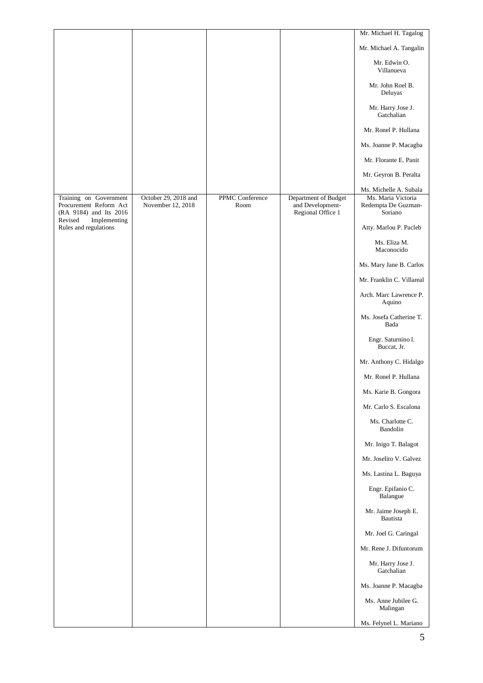|                                                                            |                                           |                         |                                                               | Mr. Michael H. Tagalog                               |
|----------------------------------------------------------------------------|-------------------------------------------|-------------------------|---------------------------------------------------------------|------------------------------------------------------|
|                                                                            |                                           |                         |                                                               | Mr. Michael A. Tangalin                              |
|                                                                            |                                           |                         |                                                               | Mr. Edwin O.<br>Villanueva                           |
|                                                                            |                                           |                         |                                                               | Mr. John Roel B.<br>Deluyas                          |
|                                                                            |                                           |                         |                                                               | Mr. Harry Jose J.<br>Gatchalian                      |
|                                                                            |                                           |                         |                                                               | Mr. Ronel P. Hullana                                 |
|                                                                            |                                           |                         |                                                               | Ms. Joanne P. Macagba                                |
|                                                                            |                                           |                         |                                                               | Mr. Florante E. Panit                                |
|                                                                            |                                           |                         |                                                               | Mr. Geyron B. Peralta                                |
|                                                                            |                                           |                         |                                                               | Ms. Michelle A. Subala                               |
| Training on Government<br>Procurement Reform Act<br>(RA 9184) and Its 2016 | October 29, 2018 and<br>November 12, 2018 | PPMC Conference<br>Room | Department of Budget<br>and Development-<br>Regional Office 1 | Ms. Maria Victoria<br>Redempta De Guzman-<br>Soriano |
| Revised<br>Implementing<br>Rules and regulations                           |                                           |                         |                                                               | Atty. Marlou P. Pacleb                               |
|                                                                            |                                           |                         |                                                               | Ms. Eliza M.<br>Maconocido                           |
|                                                                            |                                           |                         |                                                               | Ms. Mary Jane B. Carlos                              |
|                                                                            |                                           |                         |                                                               | Mr. Franklin C. Villareal                            |
|                                                                            |                                           |                         |                                                               | Arch. Marc Lawrence P.<br>Aquino                     |
|                                                                            |                                           |                         |                                                               | Ms. Josefa Catherine T.<br>Bada                      |
|                                                                            |                                           |                         |                                                               | Engr. Saturnino l.<br>Buccat, Jr.                    |
|                                                                            |                                           |                         |                                                               | Mr. Anthony C. Hidalgo                               |
|                                                                            |                                           |                         |                                                               | Mr. Ronel P. Hullana                                 |
|                                                                            |                                           |                         |                                                               | Ms. Karie B. Gongora                                 |
|                                                                            |                                           |                         |                                                               | Mr. Carlo S. Escalona                                |
|                                                                            |                                           |                         |                                                               | Ms. Charlotte C.<br>Bandolin                         |
|                                                                            |                                           |                         |                                                               | Mr. Inigo T. Balagot                                 |
|                                                                            |                                           |                         |                                                               | Mr. Joselito V. Galvez                               |
|                                                                            |                                           |                         |                                                               | Ms. Lastina L. Baguya                                |
|                                                                            |                                           |                         |                                                               | Engr. Epifanio C.<br>Balangue                        |
|                                                                            |                                           |                         |                                                               | Mr. Jaime Joseph E.<br>Bautista                      |
|                                                                            |                                           |                         |                                                               | Mr. Joel G. Caringal                                 |
|                                                                            |                                           |                         |                                                               | Mr. Rene J. Difuntorum                               |
|                                                                            |                                           |                         |                                                               | Mr. Harry Jose J.<br>Gatchalian                      |
|                                                                            |                                           |                         |                                                               | Ms. Joanne P. Macagba                                |
|                                                                            |                                           |                         |                                                               | Ms. Anne Jubilee G.<br>Malingan                      |
|                                                                            |                                           |                         |                                                               | Ms. Felynel L. Mariano                               |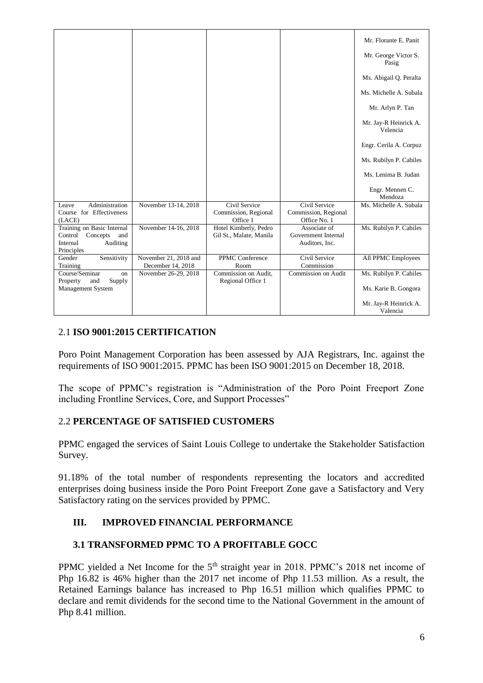|                                                                                                |                                            |                                                   |                                                       | Mr. Florante E. Panit             |
|------------------------------------------------------------------------------------------------|--------------------------------------------|---------------------------------------------------|-------------------------------------------------------|-----------------------------------|
|                                                                                                |                                            |                                                   |                                                       | Mr. George Victor S.<br>Pasig     |
|                                                                                                |                                            |                                                   |                                                       | Ms. Abigail Q. Peralta            |
|                                                                                                |                                            |                                                   |                                                       | Ms. Michelle A. Subala            |
|                                                                                                |                                            |                                                   |                                                       | Mr. Arlyn P. Tan                  |
|                                                                                                |                                            |                                                   |                                                       | Mr. Jay-R Heinrick A.<br>Velencia |
|                                                                                                |                                            |                                                   |                                                       | Engr. Cerila A. Corpuz            |
|                                                                                                |                                            |                                                   |                                                       | Ms. Rubilyn P. Cabiles            |
|                                                                                                |                                            |                                                   |                                                       | Ms. Lenima B. Judan               |
|                                                                                                |                                            |                                                   |                                                       | Engr. Mennen C.<br>Mendoza        |
| Administration<br>Leave<br>Course for Effectiveness<br>(LACE)                                  | November 13-14, 2018                       | Civil Service<br>Commission, Regional<br>Office 1 | Civil Service<br>Commission, Regional<br>Office No. 1 | Ms. Michelle A. Subala            |
| Training on Basic Internal<br>Control<br>Concepts<br>and<br>Internal<br>Auditing<br>Principles | November 14-16, 2018                       | Hotel Kimberly, Pedro<br>Gil St., Malate, Manila  | Associate of<br>Government Internal<br>Auditors, Inc. | Ms. Rubilyn P. Cabiles            |
| Sensitivity<br>Gender<br>Training                                                              | November 21, 2018 and<br>December 14, 2018 | <b>PPMC</b> Conference<br>Room                    | Civil Service<br>Commission                           | All PPMC Employees                |
| Course/Seminar<br>on<br>Supply<br>Property<br>and                                              | November 26-29, 2018                       | Commission on Audit,<br>Regional Office 1         | Commission on Audit                                   | Ms. Rubilyn P. Cabiles            |
| Management System                                                                              |                                            |                                                   |                                                       | Ms. Karie B. Gongora              |
|                                                                                                |                                            |                                                   |                                                       | Mr. Jay-R Heinrick A.<br>Valencia |

# 2.1 **ISO 9001:2015 CERTIFICATION**

Poro Point Management Corporation has been assessed by AJA Registrars, Inc. against the requirements of ISO 9001:2015. PPMC has been ISO 9001:2015 on December 18, 2018.

The scope of PPMC's registration is "Administration of the Poro Point Freeport Zone including Frontline Services, Core, and Support Processes"

## 2.2 **PERCENTAGE OF SATISFIED CUSTOMERS**

PPMC engaged the services of Saint Louis College to undertake the Stakeholder Satisfaction Survey.

91.18% of the total number of respondents representing the locators and accredited enterprises doing business inside the Poro Point Freeport Zone gave a Satisfactory and Very Satisfactory rating on the services provided by PPMC.

# **III. IMPROVED FINANCIAL PERFORMANCE**

## **3.1 TRANSFORMED PPMC TO A PROFITABLE GOCC**

PPMC yielded a Net Income for the 5<sup>th</sup> straight year in 2018. PPMC's 2018 net income of Php 16.82 is 46% higher than the 2017 net income of Php 11.53 million. As a result, the Retained Earnings balance has increased to Php 16.51 million which qualifies PPMC to declare and remit dividends for the second time to the National Government in the amount of Php 8.41 million.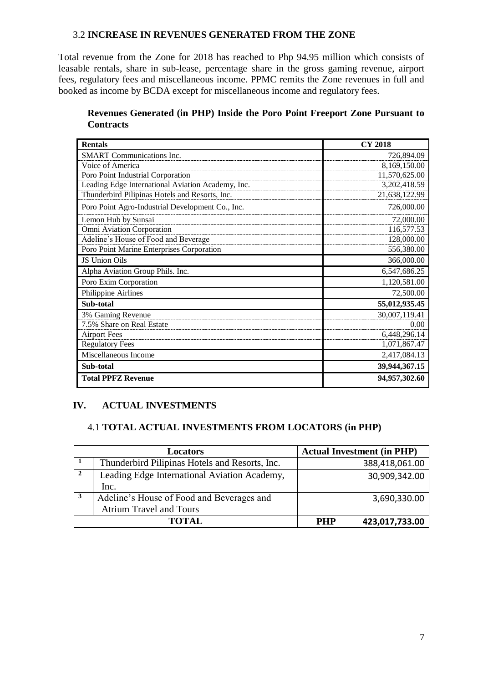### 3.2 **INCREASE IN REVENUES GENERATED FROM THE ZONE**

Total revenue from the Zone for 2018 has reached to Php 94.95 million which consists of leasable rentals, share in sub-lease, percentage share in the gross gaming revenue, airport fees, regulatory fees and miscellaneous income. PPMC remits the Zone revenues in full and booked as income by BCDA except for miscellaneous income and regulatory fees.

### **Revenues Generated (in PHP) Inside the Poro Point Freeport Zone Pursuant to Contracts**

| <b>Rentals</b>                                    | <b>CY 2018</b> |
|---------------------------------------------------|----------------|
| <b>SMART</b> Communications Inc.                  | 726,894.09     |
| Voice of America                                  | 8,169,150.00   |
| Poro Point Industrial Corporation                 | 11,570,625.00  |
| Leading Edge International Aviation Academy, Inc. | 3,202,418.59   |
| Thunderbird Pilipinas Hotels and Resorts, Inc.    | 21,638,122.99  |
| Poro Point Agro-Industrial Development Co., Inc.  | 726,000.00     |
| Lemon Hub by Sunsai                               | 72,000.00      |
| Omni Aviation Corporation                         | 116,577.53     |
| Adeline's House of Food and Beverage              | 128,000.00     |
| Poro Point Marine Enterprises Corporation         | 556,380.00     |
| JS Union Oils                                     | 366,000.00     |
| Alpha Aviation Group Phils. Inc.                  | 6,547,686.25   |
| Poro Exim Corporation                             | 1,120,581.00   |
| Philippine Airlines                               | 72,500.00      |
| Sub-total                                         | 55,012,935.45  |
| 3% Gaming Revenue                                 | 30,007,119.41  |
| 7.5% Share on Real Estate                         | 0.00           |
| <b>Airport Fees</b>                               | 6,448,296.14   |
| <b>Regulatory Fees</b>                            | 1,071,867.47   |
| Miscellaneous Income                              | 2,417,084.13   |
| Sub-total                                         | 39,944,367.15  |
| <b>Total PPFZ Revenue</b>                         | 94,957,302.60  |

# **IV. ACTUAL INVESTMENTS**

### 4.1 **TOTAL ACTUAL INVESTMENTS FROM LOCATORS (in PHP)**

|   | Locators                                       | <b>Actual Investment (in PHP)</b> |
|---|------------------------------------------------|-----------------------------------|
|   | Thunderbird Pilipinas Hotels and Resorts, Inc. | 388,418,061.00                    |
|   | Leading Edge International Aviation Academy,   | 30,909,342.00                     |
|   | Inc.                                           |                                   |
| 3 | Adeline's House of Food and Beverages and      | 3,690,330.00                      |
|   | <b>Atrium Travel and Tours</b>                 |                                   |
|   | <b>TOTAL</b>                                   | 423,017,733.00<br><b>PHP</b>      |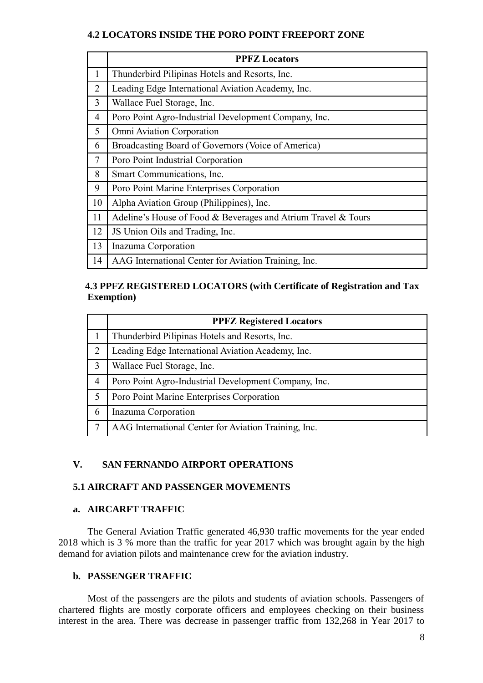### **4.2 LOCATORS INSIDE THE PORO POINT FREEPORT ZONE**

|                | <b>PPFZ Locators</b>                                          |
|----------------|---------------------------------------------------------------|
| $\mathbf{1}$   | Thunderbird Pilipinas Hotels and Resorts, Inc.                |
| $\overline{2}$ | Leading Edge International Aviation Academy, Inc.             |
| 3              | Wallace Fuel Storage, Inc.                                    |
| 4              | Poro Point Agro-Industrial Development Company, Inc.          |
| 5              | Omni Aviation Corporation                                     |
| 6              | Broadcasting Board of Governors (Voice of America)            |
| 7              | Poro Point Industrial Corporation                             |
| 8              | Smart Communications, Inc.                                    |
| 9              | Poro Point Marine Enterprises Corporation                     |
| 10             | Alpha Aviation Group (Philippines), Inc.                      |
| 11             | Adeline's House of Food & Beverages and Atrium Travel & Tours |
| 12             | JS Union Oils and Trading, Inc.                               |
| 13             | Inazuma Corporation                                           |
| 14             | AAG International Center for Aviation Training, Inc.          |

# **4.3 PPFZ REGISTERED LOCATORS (with Certificate of Registration and Tax Exemption)**

|                | <b>PPFZ Registered Locators</b>                      |
|----------------|------------------------------------------------------|
|                | Thunderbird Pilipinas Hotels and Resorts, Inc.       |
| $\overline{2}$ | Leading Edge International Aviation Academy, Inc.    |
| 3              | Wallace Fuel Storage, Inc.                           |
| 4              | Poro Point Agro-Industrial Development Company, Inc. |
| 5              | Poro Point Marine Enterprises Corporation            |
| 6              | Inazuma Corporation                                  |
|                | AAG International Center for Aviation Training, Inc. |

# **V. SAN FERNANDO AIRPORT OPERATIONS**

## **5.1 AIRCRAFT AND PASSENGER MOVEMENTS**

## **a. AIRCARFT TRAFFIC**

The General Aviation Traffic generated 46,930 traffic movements for the year ended 2018 which is 3 % more than the traffic for year 2017 which was brought again by the high demand for aviation pilots and maintenance crew for the aviation industry.

## **b. PASSENGER TRAFFIC**

Most of the passengers are the pilots and students of aviation schools. Passengers of chartered flights are mostly corporate officers and employees checking on their business interest in the area. There was decrease in passenger traffic from 132,268 in Year 2017 to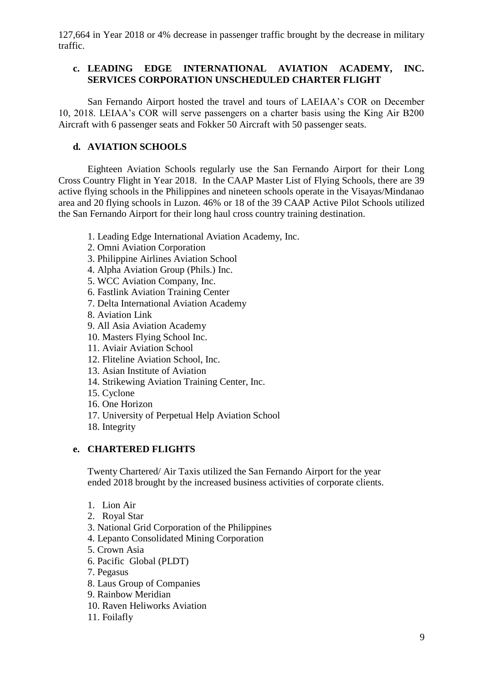127,664 in Year 2018 or 4% decrease in passenger traffic brought by the decrease in military traffic.

### **c. LEADING EDGE INTERNATIONAL AVIATION ACADEMY, INC. SERVICES CORPORATION UNSCHEDULED CHARTER FLIGHT**

San Fernando Airport hosted the travel and tours of LAEIAA's COR on December 10, 2018. LEIAA's COR will serve passengers on a charter basis using the King Air B200 Aircraft with 6 passenger seats and Fokker 50 Aircraft with 50 passenger seats.

# **d. AVIATION SCHOOLS**

Eighteen Aviation Schools regularly use the San Fernando Airport for their Long Cross Country Flight in Year 2018. In the CAAP Master List of Flying Schools, there are 39 active flying schools in the Philippines and nineteen schools operate in the Visayas/Mindanao area and 20 flying schools in Luzon. 46% or 18 of the 39 CAAP Active Pilot Schools utilized the San Fernando Airport for their long haul cross country training destination.

- 1. Leading Edge International Aviation Academy, Inc.
- 2. Omni Aviation Corporation
- 3. Philippine Airlines Aviation School
- 4. Alpha Aviation Group (Phils.) Inc.
- 5. WCC Aviation Company, Inc.
- 6. Fastlink Aviation Training Center
- 7. Delta International Aviation Academy
- 8. Aviation Link
- 9. All Asia Aviation Academy
- 10. Masters Flying School Inc.
- 11. Aviair Aviation School
- 12. Fliteline Aviation School, Inc.
- 13. Asian Institute of Aviation
- 14. Strikewing Aviation Training Center, Inc.
- 15. Cyclone
- 16. One Horizon
- 17. University of Perpetual Help Aviation School
- 18. Integrity

## **e. CHARTERED FLIGHTS**

Twenty Chartered/ Air Taxis utilized the San Fernando Airport for the year ended 2018 brought by the increased business activities of corporate clients.

- 1. Lion Air
- 2. Royal Star
- 3. National Grid Corporation of the Philippines
- 4. Lepanto Consolidated Mining Corporation
- 5. Crown Asia
- 6. Pacific Global (PLDT)
- 7. Pegasus
- 8. Laus Group of Companies
- 9. Rainbow Meridian
- 10. Raven Heliworks Aviation
- 11. Foilafly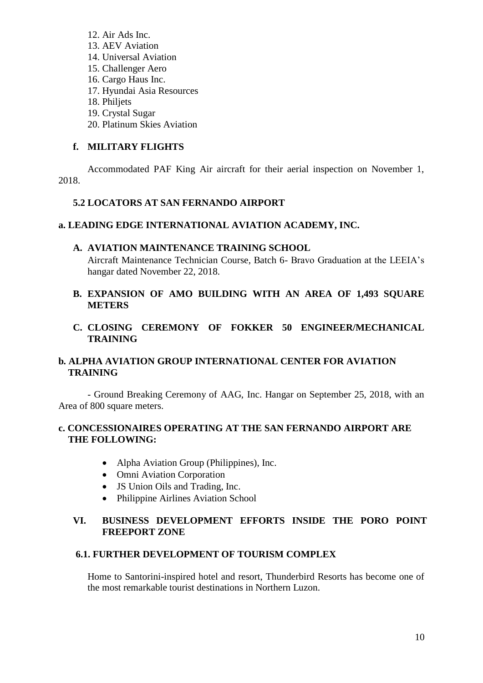- 12. Air Ads Inc. 13. AEV Aviation 14. Universal Aviation 15. Challenger Aero 16. Cargo Haus Inc. 17. Hyundai Asia Resources 18. Philjets 19. Crystal Sugar
- 20. Platinum Skies Aviation

# **f. MILITARY FLIGHTS**

Accommodated PAF King Air aircraft for their aerial inspection on November 1, 2018.

#### **5.2 LOCATORS AT SAN FERNANDO AIRPORT**

#### **a. LEADING EDGE INTERNATIONAL AVIATION ACADEMY, INC.**

#### **A. AVIATION MAINTENANCE TRAINING SCHOOL**

Aircraft Maintenance Technician Course, Batch 6- Bravo Graduation at the LEEIA's hangar dated November 22, 2018.

### **B. EXPANSION OF AMO BUILDING WITH AN AREA OF 1,493 SQUARE METERS**

### **C. CLOSING CEREMONY OF FOKKER 50 ENGINEER/MECHANICAL TRAINING**

# **b. ALPHA AVIATION GROUP INTERNATIONAL CENTER FOR AVIATION TRAINING**

- Ground Breaking Ceremony of AAG, Inc. Hangar on September 25, 2018, with an Area of 800 square meters.

## **c. CONCESSIONAIRES OPERATING AT THE SAN FERNANDO AIRPORT ARE THE FOLLOWING:**

- Alpha Aviation Group (Philippines), Inc.
- Omni Aviation Corporation
- JS Union Oils and Trading, Inc.
- Philippine Airlines Aviation School

### **VI. BUSINESS DEVELOPMENT EFFORTS INSIDE THE PORO POINT FREEPORT ZONE**

#### **6.1. FURTHER DEVELOPMENT OF TOURISM COMPLEX**

Home to Santorini-inspired hotel and resort, Thunderbird Resorts has become one of the most remarkable tourist destinations in Northern Luzon.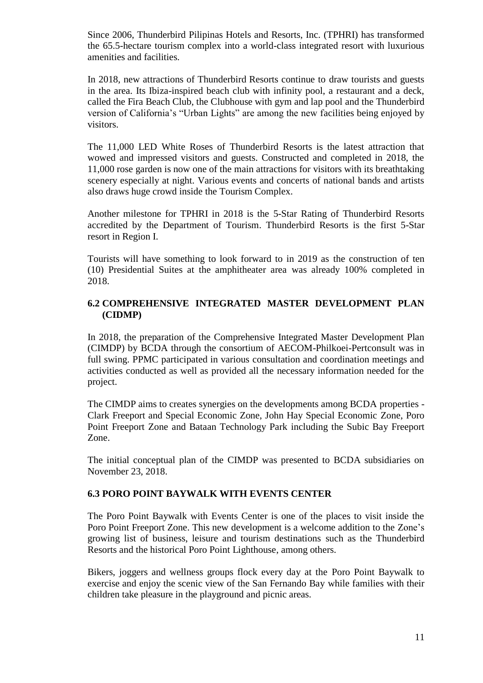Since 2006, Thunderbird Pilipinas Hotels and Resorts, Inc. (TPHRI) has transformed the 65.5-hectare tourism complex into a world-class integrated resort with luxurious amenities and facilities.

In 2018, new attractions of Thunderbird Resorts continue to draw tourists and guests in the area. Its Ibiza-inspired beach club with infinity pool, a restaurant and a deck, called the Fira Beach Club, the Clubhouse with gym and lap pool and the Thunderbird version of California's "Urban Lights" are among the new facilities being enjoyed by visitors.

The 11,000 LED White Roses of Thunderbird Resorts is the latest attraction that wowed and impressed visitors and guests. Constructed and completed in 2018, the 11,000 rose garden is now one of the main attractions for visitors with its breathtaking scenery especially at night. Various events and concerts of national bands and artists also draws huge crowd inside the Tourism Complex.

Another milestone for TPHRI in 2018 is the 5-Star Rating of Thunderbird Resorts accredited by the Department of Tourism. Thunderbird Resorts is the first 5-Star resort in Region I.

Tourists will have something to look forward to in 2019 as the construction of ten (10) Presidential Suites at the amphitheater area was already 100% completed in 2018.

### **6.2 COMPREHENSIVE INTEGRATED MASTER DEVELOPMENT PLAN (CIDMP)**

In 2018, the preparation of the Comprehensive Integrated Master Development Plan (CIMDP) by BCDA through the consortium of AECOM-Philkoei-Pertconsult was in full swing. PPMC participated in various consultation and coordination meetings and activities conducted as well as provided all the necessary information needed for the project.

The CIMDP aims to creates synergies on the developments among BCDA properties - Clark Freeport and Special Economic Zone, John Hay Special Economic Zone, Poro Point Freeport Zone and Bataan Technology Park including the Subic Bay Freeport Zone.

The initial conceptual plan of the CIMDP was presented to BCDA subsidiaries on November 23, 2018.

#### **6.3 PORO POINT BAYWALK WITH EVENTS CENTER**

The Poro Point Baywalk with Events Center is one of the places to visit inside the Poro Point Freeport Zone. This new development is a welcome addition to the Zone's growing list of business, leisure and tourism destinations such as the Thunderbird Resorts and the historical Poro Point Lighthouse, among others.

Bikers, joggers and wellness groups flock every day at the Poro Point Baywalk to exercise and enjoy the scenic view of the San Fernando Bay while families with their children take pleasure in the playground and picnic areas.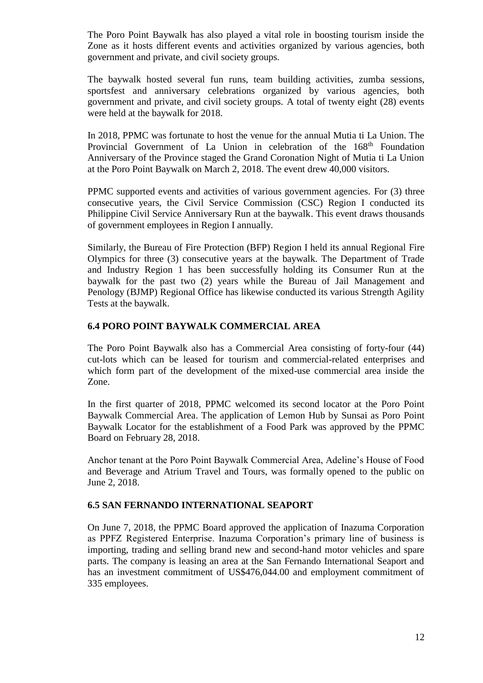The Poro Point Baywalk has also played a vital role in boosting tourism inside the Zone as it hosts different events and activities organized by various agencies, both government and private, and civil society groups.

The baywalk hosted several fun runs, team building activities, zumba sessions, sportsfest and anniversary celebrations organized by various agencies, both government and private, and civil society groups. A total of twenty eight (28) events were held at the baywalk for 2018.

In 2018, PPMC was fortunate to host the venue for the annual Mutia ti La Union. The Provincial Government of La Union in celebration of the 168<sup>th</sup> Foundation Anniversary of the Province staged the Grand Coronation Night of Mutia ti La Union at the Poro Point Baywalk on March 2, 2018. The event drew 40,000 visitors.

PPMC supported events and activities of various government agencies. For (3) three consecutive years, the Civil Service Commission (CSC) Region I conducted its Philippine Civil Service Anniversary Run at the baywalk. This event draws thousands of government employees in Region I annually.

Similarly, the Bureau of Fire Protection (BFP) Region I held its annual Regional Fire Olympics for three (3) consecutive years at the baywalk. The Department of Trade and Industry Region 1 has been successfully holding its Consumer Run at the baywalk for the past two (2) years while the Bureau of Jail Management and Penology (BJMP) Regional Office has likewise conducted its various Strength Agility Tests at the baywalk.

### **6.4 PORO POINT BAYWALK COMMERCIAL AREA**

The Poro Point Baywalk also has a Commercial Area consisting of forty-four (44) cut-lots which can be leased for tourism and commercial-related enterprises and which form part of the development of the mixed-use commercial area inside the Zone.

In the first quarter of 2018, PPMC welcomed its second locator at the Poro Point Baywalk Commercial Area. The application of Lemon Hub by Sunsai as Poro Point Baywalk Locator for the establishment of a Food Park was approved by the PPMC Board on February 28, 2018.

Anchor tenant at the Poro Point Baywalk Commercial Area, Adeline's House of Food and Beverage and Atrium Travel and Tours, was formally opened to the public on June 2, 2018.

#### **6.5 SAN FERNANDO INTERNATIONAL SEAPORT**

On June 7, 2018, the PPMC Board approved the application of Inazuma Corporation as PPFZ Registered Enterprise. Inazuma Corporation's primary line of business is importing, trading and selling brand new and second-hand motor vehicles and spare parts. The company is leasing an area at the San Fernando International Seaport and has an investment commitment of US\$476,044.00 and employment commitment of 335 employees.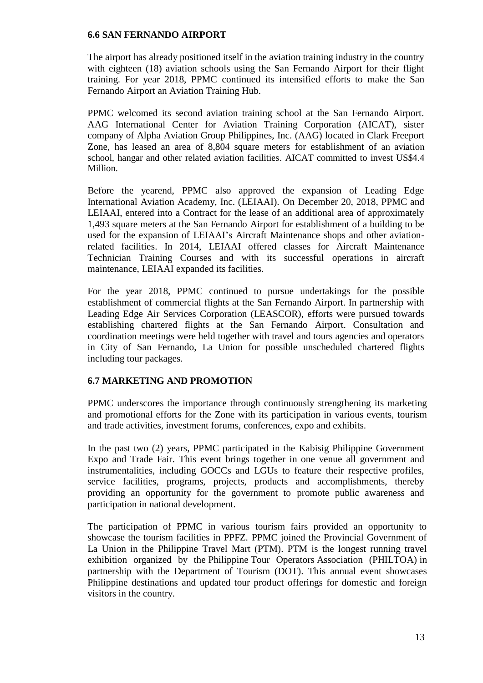#### **6.6 SAN FERNANDO AIRPORT**

The airport has already positioned itself in the aviation training industry in the country with eighteen (18) aviation schools using the San Fernando Airport for their flight training. For year 2018, PPMC continued its intensified efforts to make the San Fernando Airport an Aviation Training Hub.

PPMC welcomed its second aviation training school at the San Fernando Airport. AAG International Center for Aviation Training Corporation (AICAT), sister company of Alpha Aviation Group Philippines, Inc. (AAG) located in Clark Freeport Zone, has leased an area of 8,804 square meters for establishment of an aviation school, hangar and other related aviation facilities. AICAT committed to invest US\$4.4 Million.

Before the yearend, PPMC also approved the expansion of Leading Edge International Aviation Academy, Inc. (LEIAAI). On December 20, 2018, PPMC and LEIAAI, entered into a Contract for the lease of an additional area of approximately 1,493 square meters at the San Fernando Airport for establishment of a building to be used for the expansion of LEIAAI's Aircraft Maintenance shops and other aviationrelated facilities. In 2014, LEIAAI offered classes for Aircraft Maintenance Technician Training Courses and with its successful operations in aircraft maintenance, LEIAAI expanded its facilities.

For the year 2018, PPMC continued to pursue undertakings for the possible establishment of commercial flights at the San Fernando Airport. In partnership with Leading Edge Air Services Corporation (LEASCOR), efforts were pursued towards establishing chartered flights at the San Fernando Airport. Consultation and coordination meetings were held together with travel and tours agencies and operators in City of San Fernando, La Union for possible unscheduled chartered flights including tour packages.

## **6.7 MARKETING AND PROMOTION**

PPMC underscores the importance through continuously strengthening its marketing and promotional efforts for the Zone with its participation in various events, tourism and trade activities, investment forums, conferences, expo and exhibits.

In the past two (2) years, PPMC participated in the Kabisig Philippine Government Expo and Trade Fair. This event brings together in one venue all government and instrumentalities, including GOCCs and LGUs to feature their respective profiles, service facilities, programs, projects, products and accomplishments, thereby providing an opportunity for the government to promote public awareness and participation in national development.

The participation of PPMC in various tourism fairs provided an opportunity to showcase the tourism facilities in PPFZ. PPMC joined the Provincial Government of La Union in the Philippine Travel Mart (PTM). PTM is the longest running travel exhibition organized by the Philippine Tour Operators Association (PHILTOA) in partnership with the Department of Tourism (DOT). This annual event showcases Philippine destinations and updated tour product offerings for domestic and foreign visitors in the country.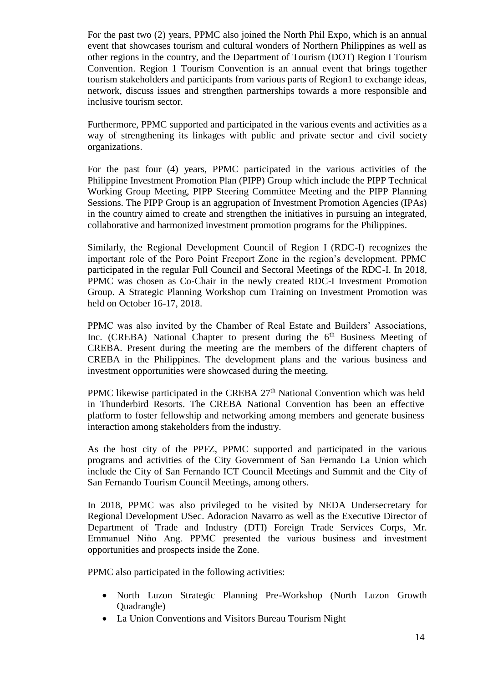For the past two (2) years, PPMC also joined the North Phil Expo, which is an annual event that showcases tourism and cultural wonders of Northern Philippines as well as other regions in the country, and the Department of Tourism (DOT) Region I Tourism Convention. Region 1 Tourism Convention is an annual event that brings together tourism stakeholders and participants from various parts of Region1 to exchange ideas, network, discuss issues and strengthen partnerships towards a more responsible and inclusive tourism sector.

Furthermore, PPMC supported and participated in the various events and activities as a way of strengthening its linkages with public and private sector and civil society organizations.

For the past four (4) years, PPMC participated in the various activities of the Philippine Investment Promotion Plan (PIPP) Group which include the PIPP Technical Working Group Meeting, PIPP Steering Committee Meeting and the PIPP Planning Sessions. The PIPP Group is an aggrupation of Investment Promotion Agencies (IPAs) in the country aimed to create and strengthen the initiatives in pursuing an integrated, collaborative and harmonized investment promotion programs for the Philippines.

Similarly, the Regional Development Council of Region I (RDC-I) recognizes the important role of the Poro Point Freeport Zone in the region's development. PPMC participated in the regular Full Council and Sectoral Meetings of the RDC-I. In 2018, PPMC was chosen as Co-Chair in the newly created RDC-I Investment Promotion Group. A Strategic Planning Workshop cum Training on Investment Promotion was held on October 16-17, 2018.

PPMC was also invited by the Chamber of Real Estate and Builders' Associations, Inc. (CREBA) National Chapter to present during the  $6<sup>th</sup>$  Business Meeting of CREBA. Present during the meeting are the members of the different chapters of CREBA in the Philippines. The development plans and the various business and investment opportunities were showcased during the meeting.

PPMC likewise participated in the CREBA  $27<sup>th</sup>$  National Convention which was held in Thunderbird Resorts. The CREBA National Convention has been an effective platform to foster fellowship and networking among members and generate business interaction among stakeholders from the industry.

As the host city of the PPFZ, PPMC supported and participated in the various programs and activities of the City Government of San Fernando La Union which include the City of San Fernando ICT Council Meetings and Summit and the City of San Fernando Tourism Council Meetings, among others.

In 2018, PPMC was also privileged to be visited by NEDA Undersecretary for Regional Development USec. Adoracion Navarro as well as the Executive Director of Department of Trade and Industry (DTI) Foreign Trade Services Corps, Mr. Emmanuel Nino Ang. PPMC presented the various business and investment opportunities and prospects inside the Zone.

PPMC also participated in the following activities:

- North Luzon Strategic Planning Pre-Workshop (North Luzon Growth Quadrangle)
- La Union Conventions and Visitors Bureau Tourism Night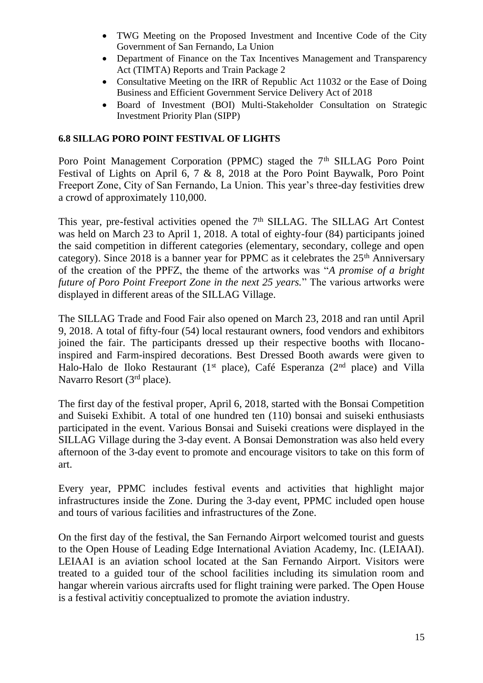- TWG Meeting on the Proposed Investment and Incentive Code of the City Government of San Fernando, La Union
- Department of Finance on the Tax Incentives Management and Transparency Act (TIMTA) Reports and Train Package 2
- Consultative Meeting on the IRR of Republic Act 11032 or the Ease of Doing Business and Efficient Government Service Delivery Act of 2018
- Board of Investment (BOI) Multi-Stakeholder Consultation on Strategic Investment Priority Plan (SIPP)

# **6.8 SILLAG PORO POINT FESTIVAL OF LIGHTS**

Poro Point Management Corporation (PPMC) staged the 7<sup>th</sup> SILLAG Poro Point Festival of Lights on April 6, 7 & 8, 2018 at the Poro Point Baywalk, Poro Point Freeport Zone, City of San Fernando, La Union. This year's three-day festivities drew a crowd of approximately 110,000.

This year, pre-festival activities opened the 7<sup>th</sup> SILLAG. The SILLAG Art Contest was held on March 23 to April 1, 2018. A total of eighty-four (84) participants joined the said competition in different categories (elementary, secondary, college and open category). Since 2018 is a banner year for PPMC as it celebrates the  $25<sup>th</sup>$  Anniversary of the creation of the PPFZ, the theme of the artworks was "*A promise of a bright future of Poro Point Freeport Zone in the next 25 years.*" The various artworks were displayed in different areas of the SILLAG Village.

The SILLAG Trade and Food Fair also opened on March 23, 2018 and ran until April 9, 2018. A total of fifty-four (54) local restaurant owners, food vendors and exhibitors joined the fair. The participants dressed up their respective booths with Ilocanoinspired and Farm-inspired decorations. Best Dressed Booth awards were given to Halo-Halo de Iloko Restaurant (1<sup>st</sup> place), Café Esperanza (2<sup>nd</sup> place) and Villa Navarro Resort (3rd place).

The first day of the festival proper, April 6, 2018, started with the Bonsai Competition and Suiseki Exhibit. A total of one hundred ten (110) bonsai and suiseki enthusiasts participated in the event. Various Bonsai and Suiseki creations were displayed in the SILLAG Village during the 3-day event. A Bonsai Demonstration was also held every afternoon of the 3-day event to promote and encourage visitors to take on this form of art.

Every year, PPMC includes festival events and activities that highlight major infrastructures inside the Zone. During the 3-day event, PPMC included open house and tours of various facilities and infrastructures of the Zone.

On the first day of the festival, the San Fernando Airport welcomed tourist and guests to the Open House of Leading Edge International Aviation Academy, Inc. (LEIAAI). LEIAAI is an aviation school located at the San Fernando Airport. Visitors were treated to a guided tour of the school facilities including its simulation room and hangar wherein various aircrafts used for flight training were parked. The Open House is a festival activitiy conceptualized to promote the aviation industry.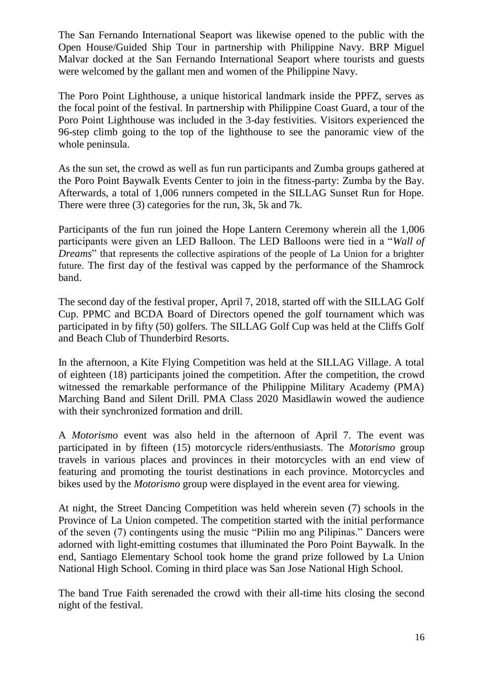The San Fernando International Seaport was likewise opened to the public with the Open House/Guided Ship Tour in partnership with Philippine Navy. BRP Miguel Malvar docked at the San Fernando International Seaport where tourists and guests were welcomed by the gallant men and women of the Philippine Navy.

The Poro Point Lighthouse, a unique historical landmark inside the PPFZ, serves as the focal point of the festival. In partnership with Philippine Coast Guard, a tour of the Poro Point Lighthouse was included in the 3-day festivities. Visitors experienced the 96-step climb going to the top of the lighthouse to see the panoramic view of the whole peninsula.

As the sun set, the crowd as well as fun run participants and Zumba groups gathered at the Poro Point Baywalk Events Center to join in the fitness-party: Zumba by the Bay. Afterwards, a total of 1,006 runners competed in the SILLAG Sunset Run for Hope. There were three (3) categories for the run, 3k, 5k and 7k.

Participants of the fun run joined the Hope Lantern Ceremony wherein all the 1,006 participants were given an LED Balloon. The LED Balloons were tied in a "*Wall of Dreams*" that represents the collective aspirations of the people of La Union for a brighter future. The first day of the festival was capped by the performance of the Shamrock band.

The second day of the festival proper, April 7, 2018, started off with the SILLAG Golf Cup. PPMC and BCDA Board of Directors opened the golf tournament which was participated in by fifty (50) golfers. The SILLAG Golf Cup was held at the Cliffs Golf and Beach Club of Thunderbird Resorts.

In the afternoon, a Kite Flying Competition was held at the SILLAG Village. A total of eighteen (18) participants joined the competition. After the competition, the crowd witnessed the remarkable performance of the Philippine Military Academy (PMA) Marching Band and Silent Drill. PMA Class 2020 Masidlawin wowed the audience with their synchronized formation and drill.

A *Motorismo* event was also held in the afternoon of April 7. The event was participated in by fifteen (15) motorcycle riders/enthusiasts. The *Motorismo* group travels in various places and provinces in their motorcycles with an end view of featuring and promoting the tourist destinations in each province. Motorcycles and bikes used by the *Motorismo* group were displayed in the event area for viewing.

At night, the Street Dancing Competition was held wherein seven (7) schools in the Province of La Union competed. The competition started with the initial performance of the seven (7) contingents using the music "Piliin mo ang Pilipinas." Dancers were adorned with light-emitting costumes that illuminated the Poro Point Baywalk. In the end, Santiago Elementary School took home the grand prize followed by La Union National High School. Coming in third place was San Jose National High School.

The band True Faith serenaded the crowd with their all-time hits closing the second night of the festival.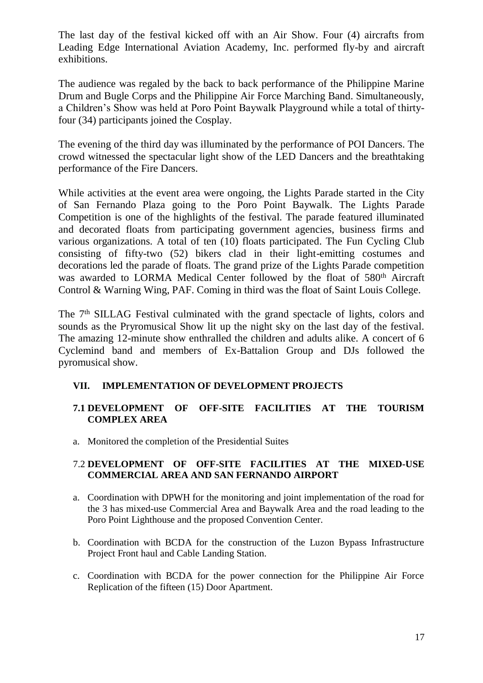The last day of the festival kicked off with an Air Show. Four (4) aircrafts from Leading Edge International Aviation Academy, Inc. performed fly-by and aircraft exhibitions.

The audience was regaled by the back to back performance of the Philippine Marine Drum and Bugle Corps and the Philippine Air Force Marching Band. Simultaneously, a Children's Show was held at Poro Point Baywalk Playground while a total of thirtyfour (34) participants joined the Cosplay.

The evening of the third day was illuminated by the performance of POI Dancers. The crowd witnessed the spectacular light show of the LED Dancers and the breathtaking performance of the Fire Dancers.

While activities at the event area were ongoing, the Lights Parade started in the City of San Fernando Plaza going to the Poro Point Baywalk. The Lights Parade Competition is one of the highlights of the festival. The parade featured illuminated and decorated floats from participating government agencies, business firms and various organizations. A total of ten (10) floats participated. The Fun Cycling Club consisting of fifty-two (52) bikers clad in their light-emitting costumes and decorations led the parade of floats. The grand prize of the Lights Parade competition was awarded to LORMA Medical Center followed by the float of 580<sup>th</sup> Aircraft Control & Warning Wing, PAF. Coming in third was the float of Saint Louis College.

The 7<sup>th</sup> SILLAG Festival culminated with the grand spectacle of lights, colors and sounds as the Pryromusical Show lit up the night sky on the last day of the festival. The amazing 12-minute show enthralled the children and adults alike. A concert of 6 Cyclemind band and members of Ex-Battalion Group and DJs followed the pyromusical show.

# **VII. IMPLEMENTATION OF DEVELOPMENT PROJECTS**

# **7.1 DEVELOPMENT OF OFF-SITE FACILITIES AT THE TOURISM COMPLEX AREA**

a. Monitored the completion of the Presidential Suites

# 7.2 **DEVELOPMENT OF OFF-SITE FACILITIES AT THE MIXED-USE COMMERCIAL AREA AND SAN FERNANDO AIRPORT**

- a. Coordination with DPWH for the monitoring and joint implementation of the road for the 3 has mixed-use Commercial Area and Baywalk Area and the road leading to the Poro Point Lighthouse and the proposed Convention Center.
- b. Coordination with BCDA for the construction of the Luzon Bypass Infrastructure Project Front haul and Cable Landing Station.
- c. Coordination with BCDA for the power connection for the Philippine Air Force Replication of the fifteen (15) Door Apartment.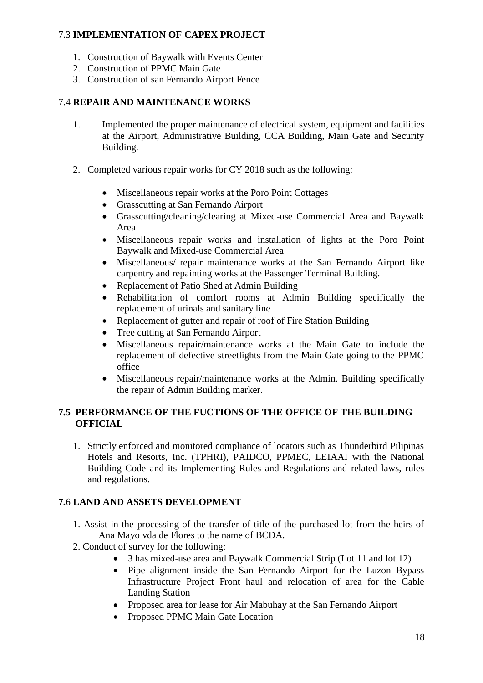## 7.3 **IMPLEMENTATION OF CAPEX PROJECT**

- 1. Construction of Baywalk with Events Center
- 2. Construction of PPMC Main Gate
- 3. Construction of san Fernando Airport Fence

# 7.4 **REPAIR AND MAINTENANCE WORKS**

- 1. Implemented the proper maintenance of electrical system, equipment and facilities at the Airport, Administrative Building, CCA Building, Main Gate and Security Building.
- 2. Completed various repair works for CY 2018 such as the following:
	- Miscellaneous repair works at the Poro Point Cottages
	- Grasscutting at San Fernando Airport
	- Grasscutting/cleaning/clearing at Mixed-use Commercial Area and Baywalk Area
	- Miscellaneous repair works and installation of lights at the Poro Point Baywalk and Mixed-use Commercial Area
	- Miscellaneous/ repair maintenance works at the San Fernando Airport like carpentry and repainting works at the Passenger Terminal Building.
	- Replacement of Patio Shed at Admin Building
	- Rehabilitation of comfort rooms at Admin Building specifically the replacement of urinals and sanitary line
	- Replacement of gutter and repair of roof of Fire Station Building
	- Tree cutting at San Fernando Airport
	- Miscellaneous repair/maintenance works at the Main Gate to include the replacement of defective streetlights from the Main Gate going to the PPMC office
	- Miscellaneous repair/maintenance works at the Admin. Building specifically the repair of Admin Building marker.

# **7.5 PERFORMANCE OF THE FUCTIONS OF THE OFFICE OF THE BUILDING OFFICIAL**

1. Strictly enforced and monitored compliance of locators such as Thunderbird Pilipinas Hotels and Resorts, Inc. (TPHRI), PAIDCO, PPMEC, LEIAAI with the National Building Code and its Implementing Rules and Regulations and related laws, rules and regulations.

# **7.**6 **LAND AND ASSETS DEVELOPMENT**

- 1. Assist in the processing of the transfer of title of the purchased lot from the heirs of Ana Mayo vda de Flores to the name of BCDA.
- 2. Conduct of survey for the following:
	- 3 has mixed-use area and Baywalk Commercial Strip (Lot 11 and lot 12)
	- Pipe alignment inside the San Fernando Airport for the Luzon Bypass Infrastructure Project Front haul and relocation of area for the Cable Landing Station
	- Proposed area for lease for Air Mabuhay at the San Fernando Airport
	- Proposed PPMC Main Gate Location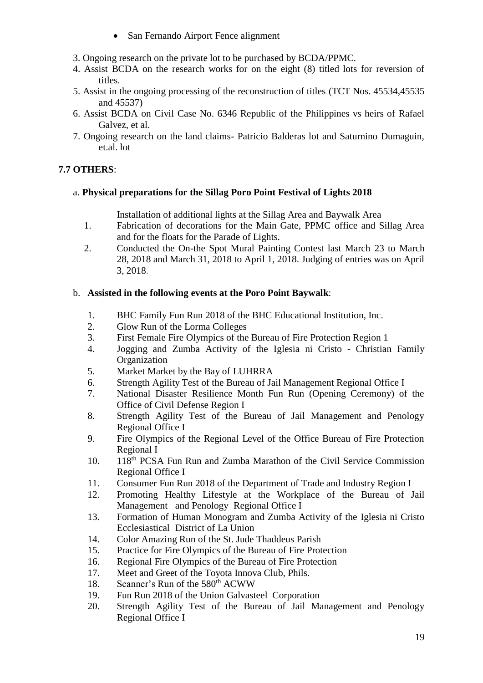- San Fernando Airport Fence alignment
- 3. Ongoing research on the private lot to be purchased by BCDA/PPMC.
- 4. Assist BCDA on the research works for on the eight (8) titled lots for reversion of titles.
- 5. Assist in the ongoing processing of the reconstruction of titles (TCT Nos. 45534,45535 and 45537)
- 6. Assist BCDA on Civil Case No. 6346 Republic of the Philippines vs heirs of Rafael Galvez, et al.
- 7. Ongoing research on the land claims- Patricio Balderas lot and Saturnino Dumaguin, et.al. lot

## **7.7 OTHERS**:

## a. **Physical preparations for the Sillag Poro Point Festival of Lights 2018**

Installation of additional lights at the Sillag Area and Baywalk Area

- 1. Fabrication of decorations for the Main Gate, PPMC office and Sillag Area and for the floats for the Parade of Lights.
- 2. Conducted the On-the Spot Mural Painting Contest last March 23 to March 28, 2018 and March 31, 2018 to April 1, 2018. Judging of entries was on April 3, 2018.

### b. **Assisted in the following events at the Poro Point Baywalk**:

- 1. BHC Family Fun Run 2018 of the BHC Educational Institution, Inc.
- 2. Glow Run of the Lorma Colleges
- 3. First Female Fire Olympics of the Bureau of Fire Protection Region 1
- 4. Jogging and Zumba Activity of the Iglesia ni Cristo Christian Family **Organization**
- 5. Market Market by the Bay of LUHRRA
- 6. Strength Agility Test of the Bureau of Jail Management Regional Office I
- 7. National Disaster Resilience Month Fun Run (Opening Ceremony) of the Office of Civil Defense Region I
- 8. Strength Agility Test of the Bureau of Jail Management and Penology Regional Office I
- 9. Fire Olympics of the Regional Level of the Office Bureau of Fire Protection Regional I
- 10. 118<sup>th</sup> PCSA Fun Run and Zumba Marathon of the Civil Service Commission Regional Office I
- 11. Consumer Fun Run 2018 of the Department of Trade and Industry Region I
- 12. Promoting Healthy Lifestyle at the Workplace of the Bureau of Jail Management and Penology Regional Office I
- 13. Formation of Human Monogram and Zumba Activity of the Iglesia ni Cristo Ecclesiastical District of La Union
- 14. Color Amazing Run of the St. Jude Thaddeus Parish
- 15. Practice for Fire Olympics of the Bureau of Fire Protection
- 16. Regional Fire Olympics of the Bureau of Fire Protection
- 17. Meet and Greet of the Toyota Innova Club, Phils.
- 18. Scanner's Run of the 580<sup>th</sup> ACWW
- 19. Fun Run 2018 of the Union Galvasteel Corporation
- 20. Strength Agility Test of the Bureau of Jail Management and Penology Regional Office I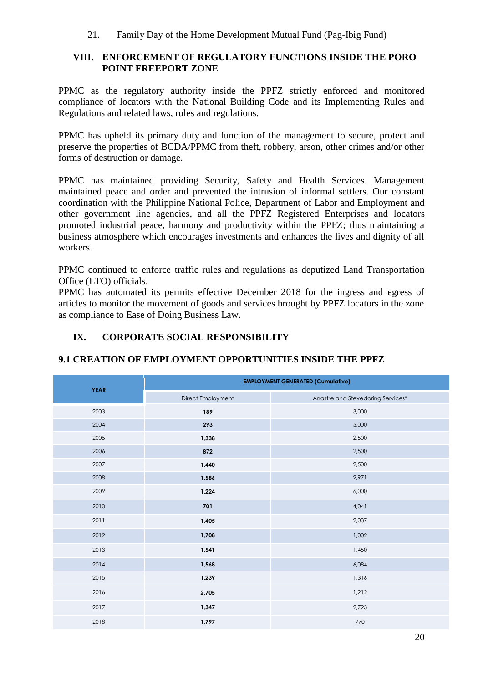21. Family Day of the Home Development Mutual Fund (Pag-Ibig Fund)

### **VIII. ENFORCEMENT OF REGULATORY FUNCTIONS INSIDE THE PORO POINT FREEPORT ZONE**

PPMC as the regulatory authority inside the PPFZ strictly enforced and monitored compliance of locators with the National Building Code and its Implementing Rules and Regulations and related laws, rules and regulations.

PPMC has upheld its primary duty and function of the management to secure, protect and preserve the properties of BCDA/PPMC from theft, robbery, arson, other crimes and/or other forms of destruction or damage.

PPMC has maintained providing Security, Safety and Health Services. Management maintained peace and order and prevented the intrusion of informal settlers. Our constant coordination with the Philippine National Police, Department of Labor and Employment and other government line agencies, and all the PPFZ Registered Enterprises and locators promoted industrial peace, harmony and productivity within the PPFZ; thus maintaining a business atmosphere which encourages investments and enhances the lives and dignity of all workers.

PPMC continued to enforce traffic rules and regulations as deputized Land Transportation Office (LTO) officials.

PPMC has automated its permits effective December 2018 for the ingress and egress of articles to monitor the movement of goods and services brought by PPFZ locators in the zone as compliance to Ease of Doing Business Law.

# **IX. CORPORATE SOCIAL RESPONSIBILITY**

|             | <b>EMPLOYMENT GENERATED (Cumulative)</b> |                                    |  |  |
|-------------|------------------------------------------|------------------------------------|--|--|
| <b>YEAR</b> | Direct Employment                        | Arrastre and Stevedoring Services* |  |  |
| 2003        | 189                                      | 3,000                              |  |  |
| 2004        | 293                                      | 5,000                              |  |  |
| 2005        | 1,338                                    | 2,500                              |  |  |
| 2006        | 872                                      | 2,500                              |  |  |
| 2007        | 1,440                                    | 2,500                              |  |  |
| 2008        | 1,586                                    | 2,971                              |  |  |
| 2009        | 1,224                                    | 6,000                              |  |  |
| 2010        | 701                                      | 4,041                              |  |  |
| 2011        | 1,405                                    | 2,037                              |  |  |
| 2012        | 1,708                                    | 1,002                              |  |  |
| 2013        | 1,541                                    | 1,450                              |  |  |
| 2014        | 1,568                                    | 6,084                              |  |  |
| 2015        | 1,239                                    | 1,316                              |  |  |
| 2016        | 2,705                                    | 1,212                              |  |  |
| 2017        | 1,347                                    | 2,723                              |  |  |
| 2018        | 1,797                                    | 770                                |  |  |

## **9.1 CREATION OF EMPLOYMENT OPPORTUNITIES INSIDE THE PPFZ**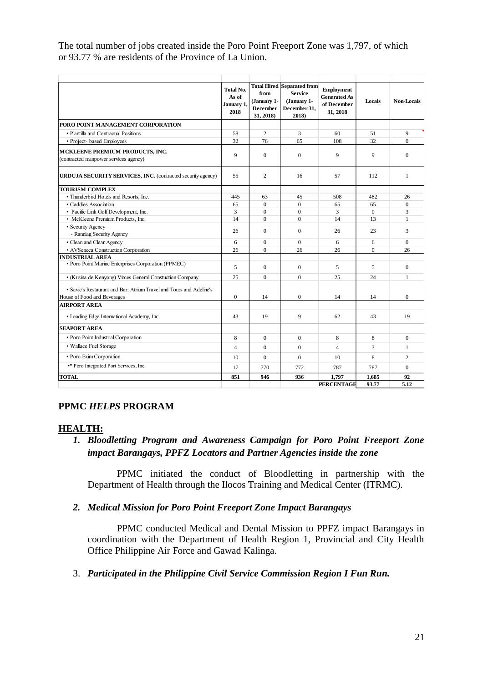The total number of jobs created inside the Poro Point Freeport Zone was 1,797, of which or 93.77 % are residents of the Province of La Union.

|                                                                                                    | <b>Total No.</b><br>As of<br>January 1,<br>2018 | from<br>(January 1-<br><b>December</b><br>31, 2018) | <b>Total Hired Separated from</b><br><b>Service</b><br>(January 1-<br>December 31,<br>2018) | Employment<br><b>Generated As</b><br>of December<br>31, 2018 | Locals         | <b>Non-Locals</b> |
|----------------------------------------------------------------------------------------------------|-------------------------------------------------|-----------------------------------------------------|---------------------------------------------------------------------------------------------|--------------------------------------------------------------|----------------|-------------------|
| PORO POINT MANAGEMENT CORPORATION                                                                  |                                                 |                                                     |                                                                                             |                                                              |                |                   |
| • Plantilla and Contracual Positions                                                               | 58                                              | $\overline{c}$                                      | 3                                                                                           | 60                                                           | 51             | 9                 |
| • Project- based Employees                                                                         | 32                                              | 76                                                  | 65                                                                                          | 108                                                          | 32             | $\theta$          |
| MCKLEENE PREMIUM PRODUCTS, INC.<br>(contracted manpower services agency)                           | 9                                               | $\mathbf{0}$                                        | $\mathbf{0}$                                                                                | 9                                                            | 9              | $\Omega$          |
| URDUJA SECURITY SERVICES, INC. (contracted security agency)                                        | 55                                              | $\overline{c}$                                      | 16                                                                                          | 57                                                           | 112            | $\mathbf{1}$      |
| <b>TOURISM COMPLEX</b>                                                                             |                                                 |                                                     |                                                                                             |                                                              |                |                   |
| • Thunderbird Hotels and Resorts, Inc.                                                             | 445                                             | 63                                                  | 45                                                                                          | 508                                                          | 482            | 26                |
| • Caddies Association                                                                              | 65                                              | $\Omega$                                            | $\Omega$                                                                                    | 65                                                           | 65             | $\Omega$          |
| • Pacific Link Golf Development, Inc.                                                              | 3                                               | $\theta$                                            | $\Omega$                                                                                    | 3                                                            | $\Omega$       | 3                 |
| • McKleene Premium Products, Inc.                                                                  | 14                                              | $\overline{0}$                                      | $\Omega$                                                                                    | 14                                                           | 13             | $\mathbf{1}$      |
| • Security Agency<br>- Ranniag Security Agency                                                     | 26                                              | $\Omega$                                            | $\theta$                                                                                    | 26                                                           | 23             | 3                 |
| • Clean and Clear Agency                                                                           | 6                                               | $\overline{0}$                                      | $\Omega$                                                                                    | 6                                                            | 6              | $\Omega$          |
| • AVSeneca Construction Corporation                                                                | 26                                              | $\theta$                                            | 26                                                                                          | 26                                                           | $\theta$       | 26                |
| <b>INDUSTRIAL AREA</b>                                                                             |                                                 |                                                     |                                                                                             |                                                              |                |                   |
| • Poro Point Marine Enterprises Corporation (PPMEC)                                                | 5                                               | $\overline{0}$                                      | $\Omega$                                                                                    | 5                                                            | 5              | $\mathbf{0}$      |
| • (Kusina de Kenyong) Virces General Constuction Company                                           | 25                                              | $\mathbf{0}$                                        | $\theta$                                                                                    | 25                                                           | 24             | $\mathbf{1}$      |
| • Savie's Restaurant and Bar; Atrium Travel and Tours and Adeline's<br>House of Food and Beverages | $\mathbf{0}$                                    | 14                                                  | $\mathbf{0}$                                                                                | 14                                                           | 14             | $\mathbf{0}$      |
| <b>AIRPORT AREA</b>                                                                                |                                                 |                                                     |                                                                                             |                                                              |                |                   |
| • Leading Edge International Academy, Inc.                                                         | 43                                              | 19                                                  | 9                                                                                           | 62                                                           | 43             | 19                |
| <b>SEAPORT AREA</b>                                                                                |                                                 |                                                     |                                                                                             |                                                              |                |                   |
| · Poro Point Industrial Corporation                                                                | 8                                               | $\mathbf{0}$                                        | $\mathbf{0}$                                                                                | 8                                                            | 8              | $\mathbf{0}$      |
| • Wallace Fuel Storage                                                                             | $\overline{4}$                                  | $\Omega$                                            | $\theta$                                                                                    | $\overline{4}$                                               | 3              | $\mathbf{1}$      |
| • Poro Exim Corporation                                                                            | 10                                              | $\overline{0}$                                      | $\Omega$                                                                                    | 10                                                           | 8              | $\overline{c}$    |
| •* Poro Integrated Port Services, Inc.                                                             | 17                                              | 770                                                 | 772                                                                                         | 787                                                          | 787            | $\Omega$          |
| <b>TOTAL</b>                                                                                       | 851                                             | 946                                                 | 936                                                                                         | 1,797<br><b>PERCENTAGE</b>                                   | 1,685<br>93.77 | 92<br>5.12        |

## **PPMC** *HELPS* **PROGRAM**

#### **HEALTH:**

*1. Bloodletting Program and Awareness Campaign for Poro Point Freeport Zone impact Barangays, PPFZ Locators and Partner Agencies inside the zone*

PPMC initiated the conduct of Bloodletting in partnership with the Department of Health through the Ilocos Training and Medical Center (ITRMC).

## *2. Medical Mission for Poro Point Freeport Zone Impact Barangays*

PPMC conducted Medical and Dental Mission to PPFZ impact Barangays in coordination with the Department of Health Region 1, Provincial and City Health Office Philippine Air Force and Gawad Kalinga.

3. *Participated in the Philippine Civil Service Commission Region I Fun Run.*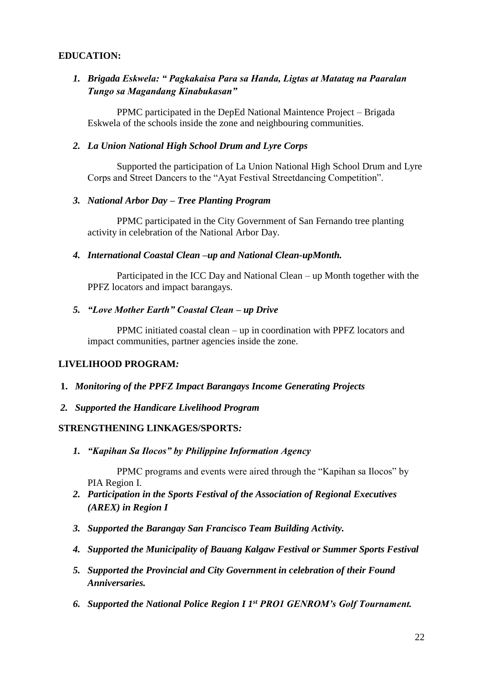### **EDUCATION:**

# *1. Brigada Eskwela: " Pagkakaisa Para sa Handa, Ligtas at Matatag na Paaralan Tungo sa Magandang Kinabukasan"*

PPMC participated in the DepEd National Maintence Project – Brigada Eskwela of the schools inside the zone and neighbouring communities.

#### *2. La Union National High School Drum and Lyre Corps*

Supported the participation of La Union National High School Drum and Lyre Corps and Street Dancers to the "Ayat Festival Streetdancing Competition".

#### *3. National Arbor Day – Tree Planting Program*

PPMC participated in the City Government of San Fernando tree planting activity in celebration of the National Arbor Day.

#### *4. International Coastal Clean –up and National Clean-upMonth.*

Participated in the ICC Day and National Clean – up Month together with the PPFZ locators and impact barangays.

### *5. "Love Mother Earth" Coastal Clean – up Drive*

PPMC initiated coastal clean – up in coordination with PPFZ locators and impact communities, partner agencies inside the zone.

#### **LIVELIHOOD PROGRAM***:*

- **1.** *Monitoring of the PPFZ Impact Barangays Income Generating Projects*
- *2. Supported the Handicare Livelihood Program*

### **STRENGTHENING LINKAGES/SPORTS***:*

*1. "Kapihan Sa Ilocos" by Philippine Information Agency*

PPMC programs and events were aired through the "Kapihan sa Ilocos" by PIA Region I.

- *2. Participation in the Sports Festival of the Association of Regional Executives (AREX) in Region I*
- *3. Supported the Barangay San Francisco Team Building Activity.*
- *4. Supported the Municipality of Bauang Kalgaw Festival or Summer Sports Festival*
- *5. Supported the Provincial and City Government in celebration of their Found Anniversaries.*
- *6. Supported the National Police Region I 1st PRO1 GENROM's Golf Tournament.*